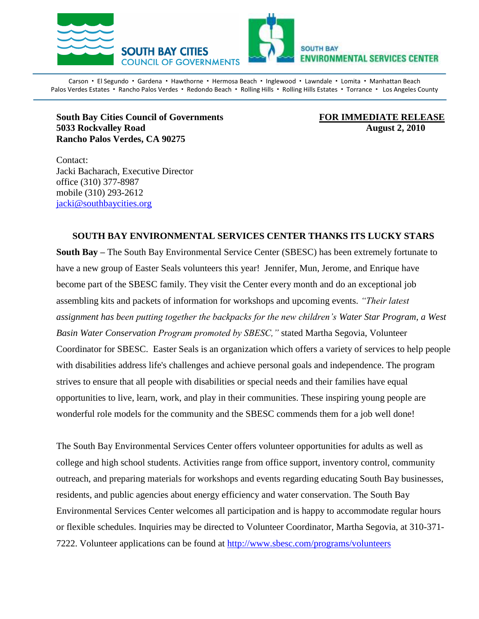

Carson · El Segundo · Gardena · Hawthorne · Hermosa Beach · Inglewood · Lawndale · Lomita · Manhattan Beach Palos Verdes Estates · Rancho Palos Verdes · Redondo Beach · Rolling Hills · Rolling Hills Estates · Torrance · Los Angeles County

**South Bay Cities Council of Governments FOR IMMEDIATE RELEASE 5033 Rockvalley Road August 2, 2010 Rancho Palos Verdes, CA 90275**

Contact: Jacki Bacharach, Executive Director office (310) 377-8987 mobile (310) 293-2612 [jacki@southbaycities.org](mailto:marilyn@sbesc.com)

## **SOUTH BAY ENVIRONMENTAL SERVICES CENTER THANKS ITS LUCKY STARS**

**South Bay –** The South Bay Environmental Service Center (SBESC) has been extremely fortunate to have a new group of Easter Seals volunteers this year! Jennifer, Mun, Jerome, and Enrique have become part of the SBESC family. They visit the Center every month and do an exceptional job assembling kits and packets of information for workshops and upcoming events. *"Their latest assignment has been putting together the backpacks for the new children's Water Star Program, a West Basin Water Conservation Program promoted by SBESC,"* stated Martha Segovia, Volunteer Coordinator for SBESC. Easter Seals is an organization which offers a variety of services to help people with disabilities address life's challenges and achieve personal goals and independence. The program strives to ensure that all people with disabilities or special needs and their families have equal opportunities to live, learn, work, and play in their communities. These inspiring young people are wonderful role models for the community and the SBESC commends them for a job well done!

The South Bay Environmental Services Center offers volunteer opportunities for adults as well as college and high school students. Activities range from office support, inventory control, community outreach, and preparing materials for workshops and events regarding educating South Bay businesses, residents, and public agencies about energy efficiency and water conservation. The South Bay Environmental Services Center welcomes all participation and is happy to accommodate regular hours or flexible schedules. Inquiries may be directed to Volunteer Coordinator, Martha Segovia, at 310-371- 7222. Volunteer applications can be found at<http://www.sbesc.com/programs/volunteers>